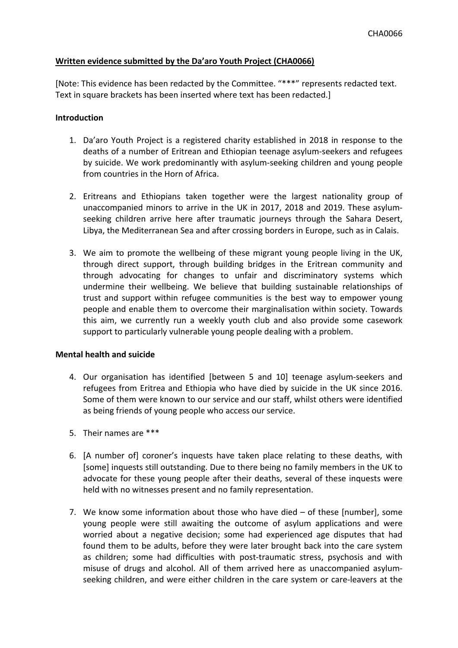# **Written evidence submitted by the Da'aro Youth Project (CHA0066)**

[Note: This evidence has been redacted by the Committee. "\*\*\*" represents redacted text. Text in square brackets has been inserted where text has been redacted.]

#### **Introduction**

- 1. Da'aro Youth Project is a registered charity established in 2018 in response to the deaths of a number of Eritrean and Ethiopian teenage asylum-seekers and refugees by suicide. We work predominantly with asylum-seeking children and young people from countries in the Horn of Africa.
- 2. Eritreans and Ethiopians taken together were the largest nationality group of unaccompanied minors to arrive in the UK in 2017, 2018 and 2019. These asylumseeking children arrive here after traumatic journeys through the Sahara Desert, Libya, the Mediterranean Sea and after crossing borders in Europe, such as in Calais.
- 3. We aim to promote the wellbeing of these migrant young people living in the UK, through direct support, through building bridges in the Eritrean community and through advocating for changes to unfair and discriminatory systems which undermine their wellbeing. We believe that building sustainable relationships of trust and support within refugee communities is the best way to empower young people and enable them to overcome their marginalisation within society. Towards this aim, we currently run a weekly youth club and also provide some casework support to particularly vulnerable young people dealing with a problem.

#### **Mental health and suicide**

- 4. Our organisation has identified [between 5 and 10] teenage asylum-seekers and refugees from Eritrea and Ethiopia who have died by suicide in the UK since 2016. Some of them were known to our service and our staff, whilst others were identified as being friends of young people who access our service.
- 5. Their names are \*\*\*
- 6. [A number of] coroner's inquests have taken place relating to these deaths, with [some] inquests still outstanding. Due to there being no family members in the UK to advocate for these young people after their deaths, several of these inquests were held with no witnesses present and no family representation.
- 7. We know some information about those who have died of these [number], some young people were still awaiting the outcome of asylum applications and were worried about a negative decision; some had experienced age disputes that had found them to be adults, before they were later brought back into the care system as children; some had difficulties with post-traumatic stress, psychosis and with misuse of drugs and alcohol. All of them arrived here as unaccompanied asylumseeking children, and were either children in the care system or care-leavers at the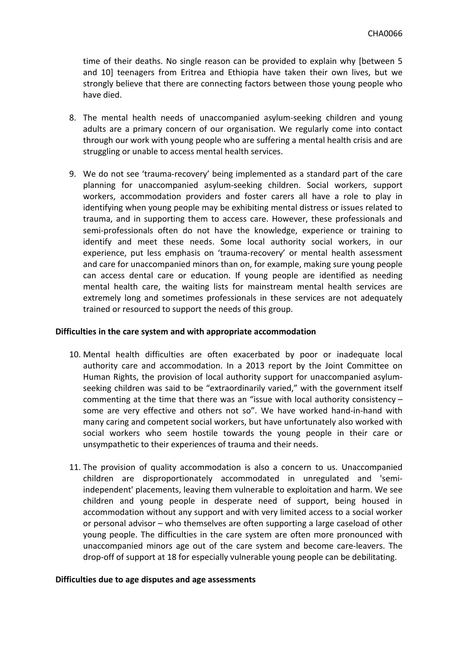time of their deaths. No single reason can be provided to explain why [between 5 and 10] teenagers from Eritrea and Ethiopia have taken their own lives, but we strongly believe that there are connecting factors between those young people who have died.

- 8. The mental health needs of unaccompanied asylum-seeking children and young adults are a primary concern of our organisation. We regularly come into contact through our work with young people who are suffering a mental health crisis and are struggling or unable to access mental health services.
- 9. We do not see 'trauma-recovery' being implemented as a standard part of the care planning for unaccompanied asylum-seeking children. Social workers, support workers, accommodation providers and foster carers all have a role to play in identifying when young people may be exhibiting mental distress or issues related to trauma, and in supporting them to access care. However, these professionals and semi-professionals often do not have the knowledge, experience or training to identify and meet these needs. Some local authority social workers, in our experience, put less emphasis on 'trauma-recovery' or mental health assessment and care for unaccompanied minors than on, for example, making sure young people can access dental care or education. If young people are identified as needing mental health care, the waiting lists for mainstream mental health services are extremely long and sometimes professionals in these services are not adequately trained or resourced to support the needs of this group.

# **Difficulties in the care system and with appropriate accommodation**

- 10. Mental health difficulties are often exacerbated by poor or inadequate local authority care and accommodation. In a 2013 report by the Joint Committee on Human Rights, the provision of local authority support for unaccompanied asylumseeking children was said to be "extraordinarily varied," with the government itself commenting at the time that there was an "issue with local authority consistency – some are very effective and others not so". We have worked hand-in-hand with many caring and competent social workers, but have unfortunately also worked with social workers who seem hostile towards the young people in their care or unsympathetic to their experiences of trauma and their needs.
- 11. The provision of quality accommodation is also a concern to us. Unaccompanied children are disproportionately accommodated in unregulated and 'semiindependent' placements, leaving them vulnerable to exploitation and harm. We see children and young people in desperate need of support, being housed in accommodation without any support and with very limited access to a social worker or personal advisor – who themselves are often supporting a large caseload of other young people. The difficulties in the care system are often more pronounced with unaccompanied minors age out of the care system and become care-leavers. The drop-off of support at 18 for especially vulnerable young people can be debilitating.

#### **Difficulties due to age disputes and age assessments**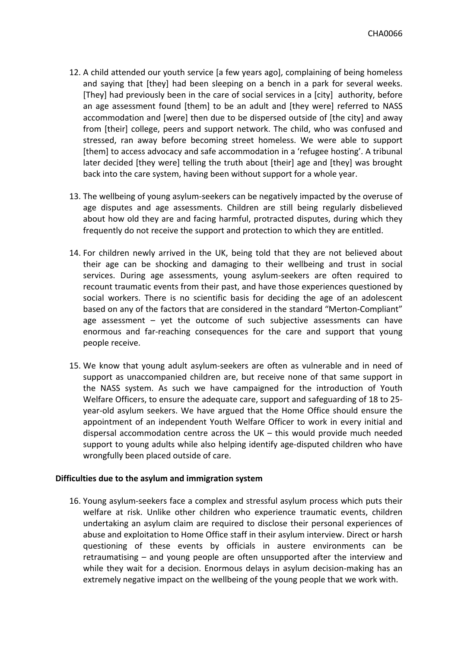- 12. A child attended our youth service [a few years ago], complaining of being homeless and saying that [they] had been sleeping on a bench in a park for several weeks. [They] had previously been in the care of social services in a [city] authority, before an age assessment found [them] to be an adult and [they were] referred to NASS accommodation and [were] then due to be dispersed outside of [the city] and away from [their] college, peers and support network. The child, who was confused and stressed, ran away before becoming street homeless. We were able to support [them] to access advocacy and safe accommodation in a 'refugee hosting'. A tribunal later decided [they were] telling the truth about [their] age and [they] was brought back into the care system, having been without support for a whole year.
- 13. The wellbeing of young asylum-seekers can be negatively impacted by the overuse of age disputes and age assessments. Children are still being regularly disbelieved about how old they are and facing harmful, protracted disputes, during which they frequently do not receive the support and protection to which they are entitled.
- 14. For children newly arrived in the UK, being told that they are not believed about their age can be shocking and damaging to their wellbeing and trust in social services. During age assessments, young asylum-seekers are often required to recount traumatic events from their past, and have those experiences questioned by social workers. There is no scientific basis for deciding the age of an adolescent based on any of the factors that are considered in the standard "Merton-Compliant" age assessment – yet the outcome of such subjective assessments can have enormous and far-reaching consequences for the care and support that young people receive.
- 15. We know that young adult asylum-seekers are often as vulnerable and in need of support as unaccompanied children are, but receive none of that same support in the NASS system. As such we have campaigned for the introduction of Youth Welfare Officers, to ensure the adequate care, support and safeguarding of 18 to 25 year-old asylum seekers. We have argued that the Home Office should ensure the appointment of an independent Youth Welfare Officer to work in every initial and dispersal accommodation centre across the UK – this would provide much needed support to young adults while also helping identify age-disputed children who have wrongfully been placed outside of care.

# **Difficulties due to the asylum and immigration system**

16. Young asylum-seekers face a complex and stressful asylum process which puts their welfare at risk. Unlike other children who experience traumatic events, children undertaking an asylum claim are required to disclose their personal experiences of abuse and exploitation to Home Office staff in their asylum interview. Direct or harsh questioning of these events by officials in austere environments can be retraumatising – and young people are often unsupported after the interview and while they wait for a decision. Enormous delays in asylum decision-making has an extremely negative impact on the wellbeing of the young people that we work with.